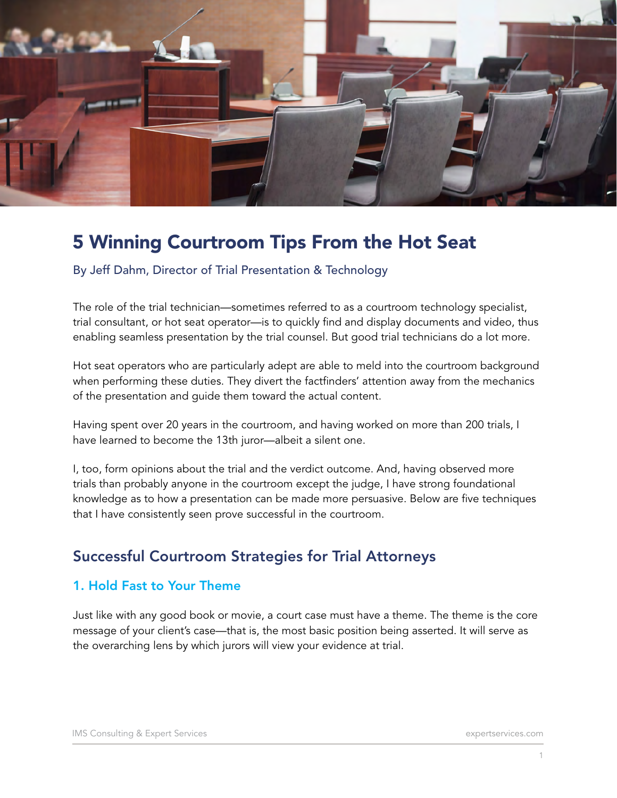

# 5 Winning Courtroom Tips From the Hot Seat

By Jeff Dahm, Director of Trial Presentation & Technology

The role of the trial technician—sometimes referred to as a courtroom technology specialist, trial consultant, or hot seat operator—is to quickly find and display documents and video, thus enabling seamless presentation by the trial counsel. But good trial technicians do a lot more.

Hot seat operators who are particularly adept are able to meld into the courtroom background when performing these duties. They divert the factfinders' attention away from the mechanics of the presentation and guide them toward the actual content.

Having spent over 20 years in the courtroom, and having worked on more than 200 trials, I have learned to become the 13th juror—albeit a silent one.

I, too, form opinions about the trial and the verdict outcome. And, having observed more trials than probably anyone in the courtroom except the judge, I have strong foundational knowledge as to how a presentation can be made more persuasive. Below are five techniques that I have consistently seen prove successful in the courtroom.

# Successful Courtroom Strategies for Trial Attorneys

### 1. Hold Fast to Your Theme

Just like with any good book or movie, a court case must have a theme. The theme is the core message of your client's case—that is, the most basic position being asserted. It will serve as the overarching lens by which jurors will view your evidence at trial.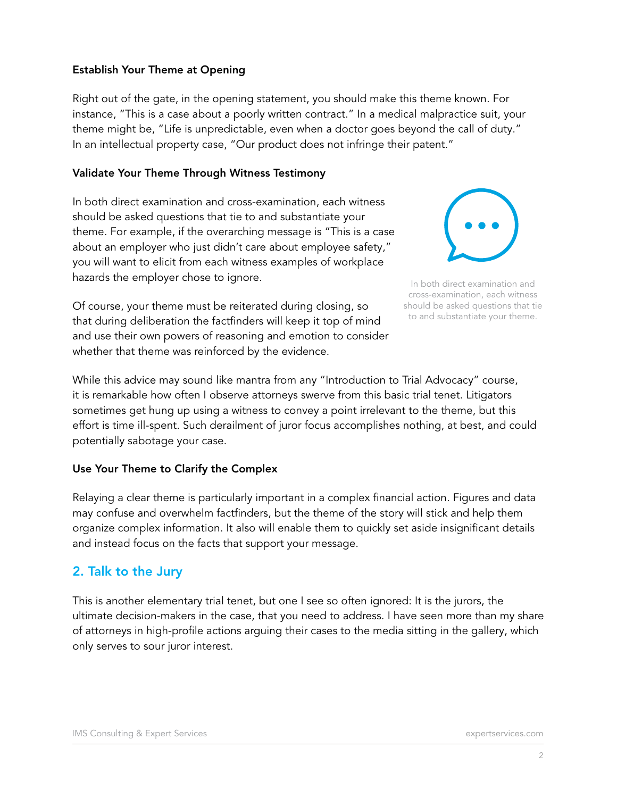### Establish Your Theme at Opening

Right out of the gate, in the opening statement, you should make this theme known. For instance, "This is a case about a poorly written contract." In a medical malpractice suit, your theme might be, "Life is unpredictable, even when a doctor goes beyond the call of duty." In an intellectual property case, "Our product does not infringe their patent."

#### Validate Your Theme Through Witness Testimony

In both direct examination and cross-examination, each witness should be asked questions that tie to and substantiate your theme. For example, if the overarching message is "This is a case about an employer who just didn't care about employee safety," you will want to elicit from each witness examples of workplace hazards the employer chose to ignore.

Of course, your theme must be reiterated during closing, so that during deliberation the factfinders will keep it top of mind and use their own powers of reasoning and emotion to consider whether that theme was reinforced by the evidence.



In both direct examination and cross-examination, each witness should be asked questions that tie to and substantiate your theme.

While this advice may sound like mantra from any "Introduction to Trial Advocacy" course, it is remarkable how often I observe attorneys swerve from this basic trial tenet. Litigators sometimes get hung up using a witness to convey a point irrelevant to the theme, but this effort is time ill-spent. Such derailment of juror focus accomplishes nothing, at best, and could potentially sabotage your case.

### Use Your Theme to Clarify the Complex

Relaying a clear theme is particularly important in a complex financial action. Figures and data may confuse and overwhelm factfinders, but the theme of the story will stick and help them organize complex information. It also will enable them to quickly set aside insignificant details and instead focus on the facts that support your message.

### 2. Talk to the Jury

This is another elementary trial tenet, but one I see so often ignored: It is the jurors, the ultimate decision-makers in the case, that you need to address. I have seen more than my share of attorneys in high-profile actions arguing their cases to the media sitting in the gallery, which only serves to sour juror interest.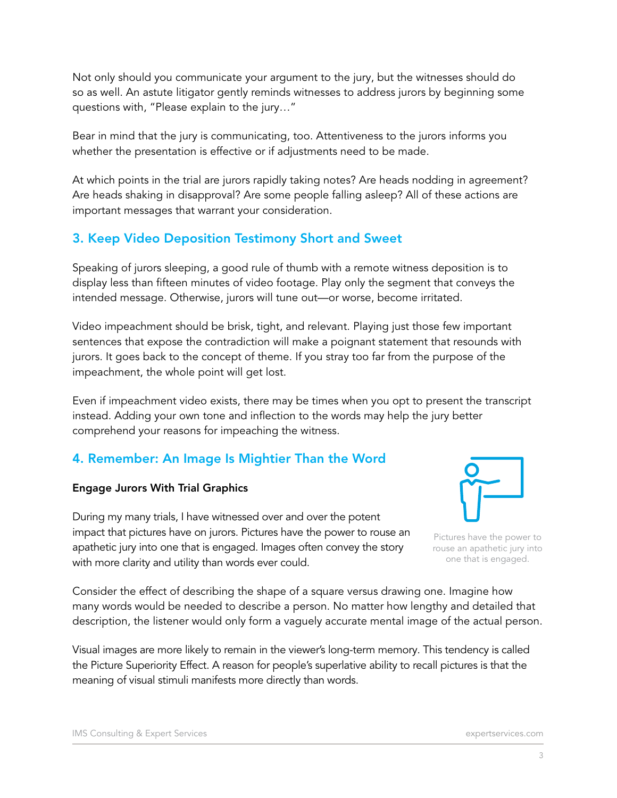Not only should you communicate your argument to the jury, but the witnesses should do so as well. An astute litigator gently reminds witnesses to address jurors by beginning some questions with, "Please explain to the jury…"

Bear in mind that the jury is communicating, too. Attentiveness to the jurors informs you whether the presentation is effective or if adjustments need to be made.

At which points in the trial are jurors rapidly taking notes? Are heads nodding in agreement? Are heads shaking in disapproval? Are some people falling asleep? All of these actions are important messages that warrant your consideration.

### 3. Keep Video Deposition Testimony Short and Sweet

Speaking of jurors sleeping, a good rule of thumb with a remote witness deposition is to display less than fifteen minutes of video footage. Play only the segment that conveys the intended message. Otherwise, jurors will tune out—or worse, become irritated.

Video impeachment should be brisk, tight, and relevant. Playing just those few important sentences that expose the contradiction will make a poignant statement that resounds with jurors. It goes back to the concept of theme. If you stray too far from the purpose of the impeachment, the whole point will get lost.

Even if impeachment video exists, there may be times when you opt to present the transcript instead. Adding your own tone and inflection to the words may help the jury better comprehend your reasons for impeaching the witness.

### 4. Remember: An Image Is Mightier Than the Word

### Engage Jurors With Trial Graphics

During my many trials, I have witnessed over and over the potent impact that pictures have on jurors. Pictures have the power to rouse an apathetic jury into one that is engaged. Images often convey the story with more clarity and utility than words ever could.

Consider the effect of describing the shape of a square versus drawing one. Imagine how many words would be needed to describe a person. No matter how lengthy and detailed that description, the listener would only form a vaguely accurate mental image of the actual person.

Visual images are more likely to remain in the viewer's long-term memory. This tendency is called the Picture Superiority Effect. A reason for people's superlative ability to recall pictures is that the meaning of visual stimuli manifests more directly than words.



Pictures have the power to rouse an apathetic jury into one that is engaged.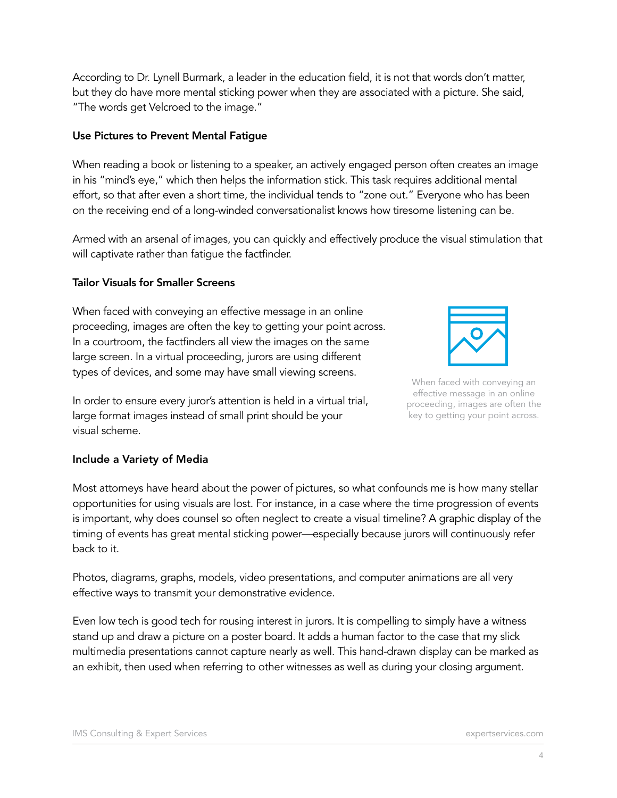According to Dr. Lynell Burmark, a leader in the education field, it is not that words don't matter, but they do have more mental sticking power when they are associated with a picture. She said, "The words get Velcroed to the image."

#### Use Pictures to Prevent Mental Fatigue

When reading a book or listening to a speaker, an actively engaged person often creates an image in his "mind's eye," which then helps the information stick. This task requires additional mental effort, so that after even a short time, the individual tends to "zone out." Everyone who has been on the receiving end of a long-winded conversationalist knows how tiresome listening can be.

Armed with an arsenal of images, you can quickly and effectively produce the visual stimulation that will captivate rather than fatigue the factfinder.

#### Tailor Visuals for Smaller Screens

When faced with conveying an effective message in an online proceeding, images are often the key to getting your point across. In a courtroom, the factfinders all view the images on the same large screen. In a virtual proceeding, jurors are using different types of devices, and some may have small viewing screens.



When faced with conveying an effective message in an online proceeding, images are often the key to getting your point across.

In order to ensure every juror's attention is held in a virtual trial, large format images instead of small print should be your visual scheme.

### Include a Variety of Media

Most attorneys have heard about the power of pictures, so what confounds me is how many stellar opportunities for using visuals are lost. For instance, in a case where the time progression of events is important, why does counsel so often neglect to create a visual timeline? A graphic display of the timing of events has great mental sticking power—especially because jurors will continuously refer back to it.

Photos, diagrams, graphs, models, video presentations, and computer animations are all very effective ways to transmit your demonstrative evidence.

Even low tech is good tech for rousing interest in jurors. It is compelling to simply have a witness stand up and draw a picture on a poster board. It adds a human factor to the case that my slick multimedia presentations cannot capture nearly as well. This hand-drawn display can be marked as an exhibit, then used when referring to other witnesses as well as during your closing argument.